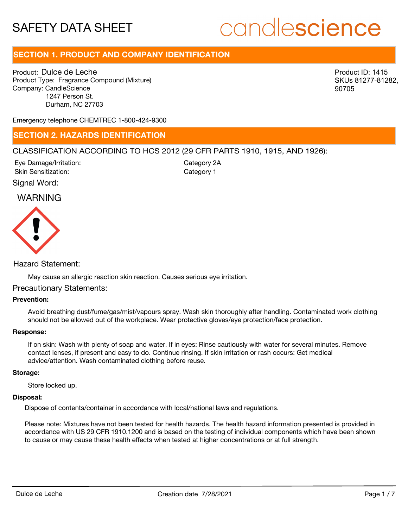# candlescience

# **SECTION 1. PRODUCT AND COMPANY IDENTIFICATION**

Product: Dulce de Leche Product Type: Fragrance Compound (Mixture) Company: CandleScience 1247 Person St. Durham, NC 27703

Product ID: 1415 SKUs 81277-81282, 90705

Emergency telephone CHEMTREC 1-800-424-9300

## **SECTION 2. HAZARDS IDENTIFICATION**

### CLASSIFICATION ACCORDING TO HCS 2012 (29 CFR PARTS 1910, 1915, AND 1926):

Signal Word: Eye Damage/Irritation: Skin Sensitization:

Category 2A Category 1

# WARNING



Hazard Statement:

May cause an allergic reaction skin reaction. Causes serious eye irritation.

### Precautionary Statements:

### **Prevention:**

Avoid breathing dust/fume/gas/mist/vapours spray. Wash skin thoroughly after handling. Contaminated work clothing should not be allowed out of the workplace. Wear protective gloves/eye protection/face protection.

#### **Response:**

If on skin: Wash with plenty of soap and water. If in eyes: Rinse cautiously with water for several minutes. Remove contact lenses, if present and easy to do. Continue rinsing. If skin irritation or rash occurs: Get medical advice/attention. Wash contaminated clothing before reuse.

### **Storage:**

Store locked up.

#### **Disposal:**

Dispose of contents/container in accordance with local/national laws and regulations.

Please note: Mixtures have not been tested for health hazards. The health hazard information presented is provided in accordance with US 29 CFR 1910.1200 and is based on the testing of individual components which have been shown to cause or may cause these health effects when tested at higher concentrations or at full strength.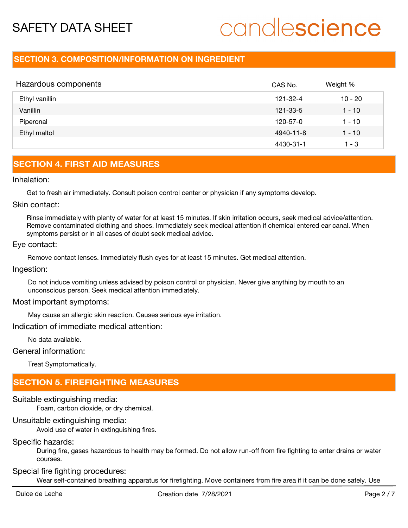# candlescience

# **SECTION 3. COMPOSITION/INFORMATION ON INGREDIENT**

| Hazardous components | CAS No.   | Weight %  |
|----------------------|-----------|-----------|
| Ethyl vanillin       | 121-32-4  | $10 - 20$ |
| Vanillin             | 121-33-5  | 1 - 10    |
| Piperonal            | 120-57-0  | 1 - 10    |
| Ethyl maltol         | 4940-11-8 | $1 - 10$  |
|                      | 4430-31-1 | 1 - 3     |

# **SECTION 4. FIRST AID MEASURES**

Inhalation:

Get to fresh air immediately. Consult poison control center or physician if any symptoms develop.

### Skin contact:

Rinse immediately with plenty of water for at least 15 minutes. If skin irritation occurs, seek medical advice/attention. Remove contaminated clothing and shoes. Immediately seek medical attention if chemical entered ear canal. When symptoms persist or in all cases of doubt seek medical advice.

### Eye contact:

Remove contact lenses. Immediately flush eyes for at least 15 minutes. Get medical attention.

Ingestion:

Do not induce vomiting unless advised by poison control or physician. Never give anything by mouth to an unconscious person. Seek medical attention immediately.

### Most important symptoms:

May cause an allergic skin reaction. Causes serious eye irritation.

Indication of immediate medical attention:

No data available.

### General information:

Treat Symptomatically.

# **SECTION 5. FIREFIGHTING MEASURES**

Suitable extinguishing media:

Foam, carbon dioxide, or dry chemical.

# Unsuitable extinguishing media:

Avoid use of water in extinguishing fires.

# Specific hazards:

During fire, gases hazardous to health may be formed. Do not allow run-off from fire fighting to enter drains or water courses.

## Special fire fighting procedures:

Wear self-contained breathing apparatus for firefighting. Move containers from fire area if it can be done safely. Use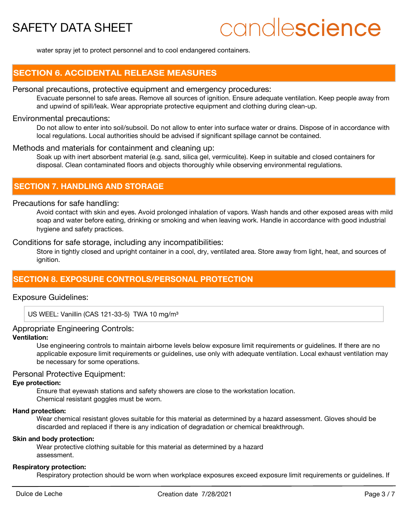# candlescience

water spray jet to protect personnel and to cool endangered containers.

# **SECTION 6. ACCIDENTAL RELEASE MEASURES**

### Personal precautions, protective equipment and emergency procedures:

Evacuate personnel to safe areas. Remove all sources of ignition. Ensure adequate ventilation. Keep people away from and upwind of spill/leak. Wear appropriate protective equipment and clothing during clean-up.

### Environmental precautions:

Do not allow to enter into soil/subsoil. Do not allow to enter into surface water or drains. Dispose of in accordance with local regulations. Local authorities should be advised if significant spillage cannot be contained.

### Methods and materials for containment and cleaning up:

Soak up with inert absorbent material (e.g. sand, silica gel, vermiculite). Keep in suitable and closed containers for disposal. Clean contaminated floors and objects thoroughly while observing environmental regulations.

## **SECTION 7. HANDLING AND STORAGE**

### Precautions for safe handling:

Avoid contact with skin and eyes. Avoid prolonged inhalation of vapors. Wash hands and other exposed areas with mild soap and water before eating, drinking or smoking and when leaving work. Handle in accordance with good industrial hygiene and safety practices.

Conditions for safe storage, including any incompatibilities:

Store in tightly closed and upright container in a cool, dry, ventilated area. Store away from light, heat, and sources of ignition.

## **SECTION 8. EXPOSURE CONTROLS/PERSONAL PROTECTION**

### Exposure Guidelines:

US WEEL: Vanillin (CAS 121-33-5) TWA 10 mg/m<sup>3</sup>

### Appropriate Engineering Controls:

### **Ventilation:**

Use engineering controls to maintain airborne levels below exposure limit requirements or guidelines. If there are no applicable exposure limit requirements or guidelines, use only with adequate ventilation. Local exhaust ventilation may be necessary for some operations.

### Personal Protective Equipment:

### **Eye protection:**

Ensure that eyewash stations and safety showers are close to the workstation location.

Chemical resistant goggles must be worn.

### **Hand protection:**

Wear chemical resistant gloves suitable for this material as determined by a hazard assessment. Gloves should be discarded and replaced if there is any indication of degradation or chemical breakthrough.

### **Skin and body protection:**

Wear protective clothing suitable for this material as determined by a hazard assessment.

#### **Respiratory protection:**

Respiratory protection should be worn when workplace exposures exceed exposure limit requirements or guidelines. If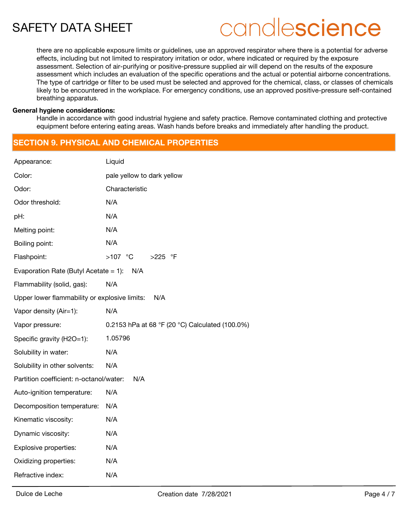# candlescience

there are no applicable exposure limits or guidelines, use an approved respirator where there is a potential for adverse effects, including but not limited to respiratory irritation or odor, where indicated or required by the exposure assessment. Selection of air-purifying or positive-pressure supplied air will depend on the results of the exposure assessment which includes an evaluation of the specific operations and the actual or potential airborne concentrations. The type of cartridge or filter to be used must be selected and approved for the chemical, class, or classes of chemicals likely to be encountered in the workplace. For emergency conditions, use an approved positive-pressure self-contained breathing apparatus.

### **General hygiene considerations:**

Handle in accordance with good industrial hygiene and safety practice. Remove contaminated clothing and protective equipment before entering eating areas. Wash hands before breaks and immediately after handling the product.

# **SECTION 9. PHYSICAL AND CHEMICAL PROPERTIES**

| Appearance:                                     | Liquid                                          |  |  |  |  |
|-------------------------------------------------|-------------------------------------------------|--|--|--|--|
| Color:                                          | pale yellow to dark yellow                      |  |  |  |  |
| Odor:                                           | Characteristic                                  |  |  |  |  |
| Odor threshold:                                 | N/A                                             |  |  |  |  |
| pH:                                             | N/A                                             |  |  |  |  |
| Melting point:                                  | N/A                                             |  |  |  |  |
| Boiling point:                                  | N/A                                             |  |  |  |  |
| Flashpoint:                                     | $>107$ °C<br>>225 °F                            |  |  |  |  |
| Evaporation Rate (Butyl Acetate $= 1$ ):<br>N/A |                                                 |  |  |  |  |
| Flammability (solid, gas):                      | N/A                                             |  |  |  |  |
| Upper lower flammability or explosive limits:   | N/A                                             |  |  |  |  |
| Vapor density (Air=1):                          | N/A                                             |  |  |  |  |
| Vapor pressure:                                 | 0.2153 hPa at 68 °F (20 °C) Calculated (100.0%) |  |  |  |  |
| Specific gravity (H2O=1):                       | 1.05796                                         |  |  |  |  |
| Solubility in water:                            | N/A                                             |  |  |  |  |
| Solubility in other solvents:                   | N/A                                             |  |  |  |  |
| Partition coefficient: n-octanol/water:         | N/A                                             |  |  |  |  |
| Auto-ignition temperature:                      | N/A                                             |  |  |  |  |
| Decomposition temperature:                      | N/A                                             |  |  |  |  |
| Kinematic viscosity:                            | N/A                                             |  |  |  |  |
| Dynamic viscosity:                              | N/A                                             |  |  |  |  |
| Explosive properties:                           | N/A                                             |  |  |  |  |
| Oxidizing properties:                           | N/A                                             |  |  |  |  |
| Refractive index:                               | N/A                                             |  |  |  |  |
|                                                 |                                                 |  |  |  |  |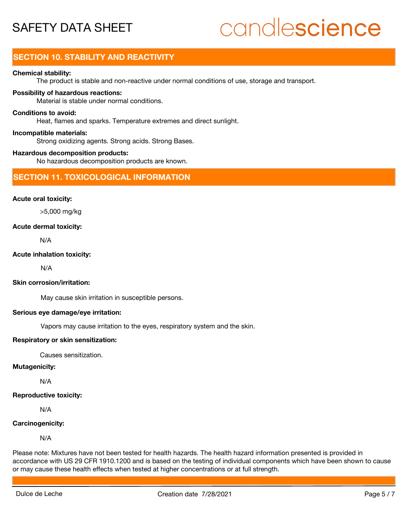# candlescience

# **SECTION 10. STABILITY AND REACTIVITY**

### **Chemical stability:**

The product is stable and non-reactive under normal conditions of use, storage and transport.

### **Possibility of hazardous reactions:**

Material is stable under normal conditions.

### **Conditions to avoid:**

Heat, flames and sparks. Temperature extremes and direct sunlight.

### **Incompatible materials:**

Strong oxidizing agents. Strong acids. Strong Bases.

### **Hazardous decomposition products:**

No hazardous decomposition products are known.

### **SECTION 11. TOXICOLOGICAL INFORMATION**

### **Acute oral toxicity:**

>5,000 mg/kg

### **Acute dermal toxicity:**

N/A

### **Acute inhalation toxicity:**

N/A

### **Skin corrosion/irritation:**

May cause skin irritation in susceptible persons.

### **Serious eye damage/eye irritation:**

Vapors may cause irritation to the eyes, respiratory system and the skin.

### **Respiratory or skin sensitization:**

Causes sensitization.

### **Mutagenicity:**

N/A

## **Reproductive toxicity:**

N/A

## **Carcinogenicity:**

N/A

Please note: Mixtures have not been tested for health hazards. The health hazard information presented is provided in accordance with US 29 CFR 1910.1200 and is based on the testing of individual components which have been shown to cause or may cause these health effects when tested at higher concentrations or at full strength.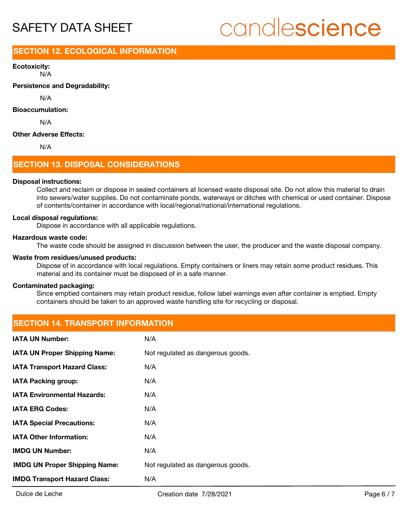# candlescience

# **SECTION 12. ECOLOGICAL INFORMATION**

N/A **Ecotoxicity:**

**Persistence and Degradability:**

N/A

### **Bioaccumulation:**

N/A

### **Other Adverse Effects:**

N/A

## **SECTION 13. DISPOSAL CONSIDERATIONS**

### **Disposal instructions:**

Collect and reclaim or dispose in sealed containers at licensed waste disposal site. Do not allow this material to drain into sewers/water supplies. Do not contaminate ponds, waterways or ditches with chemical or used container. Dispose of contents/container in accordance with local/regional/national/international regulations.

### **Local disposal regulations:**

Dispose in accordance with all applicable regulations.

### **Hazardous waste code:**

The waste code should be assigned in discussion between the user, the producer and the waste disposal company.

### **Waste from residues/unused products:**

Dispose of in accordance with local regulations. Empty containers or liners may retain some product residues. This material and its container must be disposed of in a safe manner.

### **Contaminated packaging:**

Since emptied containers may retain product residue, follow label warnings even after container is emptied. Empty containers should be taken to an approved waste handling site for recycling or disposal.

# **SECTION 14. TRANSPORT INFORMATION**

| <b>IATA UN Number:</b>               | N/A                               |
|--------------------------------------|-----------------------------------|
| <b>IATA UN Proper Shipping Name:</b> | Not regulated as dangerous goods. |
| <b>IATA Transport Hazard Class:</b>  | N/A                               |
| <b>IATA Packing group:</b>           | N/A                               |
| <b>IATA Environmental Hazards:</b>   | N/A                               |
| <b>IATA ERG Codes:</b>               | N/A                               |
| <b>IATA Special Precautions:</b>     | N/A                               |
| <b>IATA Other Information:</b>       | N/A                               |
| <b>IMDG UN Number:</b>               | N/A                               |
| <b>IMDG UN Proper Shipping Name:</b> | Not regulated as dangerous goods. |
| <b>IMDG Transport Hazard Class:</b>  | N/A                               |